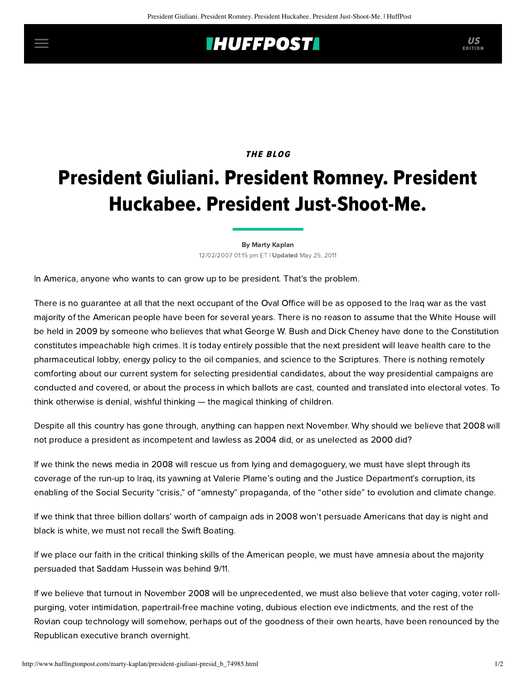## **IHUFFPOSTI** US

### THE BLOG

# President Giuliani. President Romney. President Huckabee. President Just-Shoot-Me.

[By Marty Kaplan](http://www.huffingtonpost.com/author/marty-kaplan) 12/02/2007 01:15 pm ET | Updated May 25, 2011

In America, anyone who wants to can grow up to be president. That's the problem.

There is no guarantee at all that the next occupant of the Oval Office will be as opposed to the Iraq war as the vast majority of the American people have been for several years. There is no reason to assume that the White House will be held in 2009 by someone who believes that what George W. Bush and Dick Cheney have done to the Constitution constitutes impeachable high crimes. It is today entirely possible that the next president will leave health care to the pharmaceutical lobby, energy policy to the oil companies, and science to the Scriptures. There is nothing remotely comforting about our current system for selecting presidential candidates, about the way presidential campaigns are conducted and covered, or about the process in which ballots are cast, counted and translated into electoral votes. To think otherwise is denial, wishful thinking — the magical thinking of children.

Despite all this country has gone through, anything can happen next November. Why should we believe that 2008 will not produce a president as incompetent and lawless as 2004 did, or as unelected as 2000 did?

If we think the news media in 2008 will rescue us from lying and demagoguery, we must have slept through its coverage of the run-up to Iraq, its yawning at Valerie Plame's outing and the Justice Department's corruption, its enabling of the Social Security "crisis," of "amnesty" propaganda, of the "other side" to evolution and climate change.

If we think that three billion dollars' worth of campaign ads in 2008 won't persuade Americans that day is night and black is white, we must not recall the Swift Boating.

If we place our faith in the critical thinking skills of the American people, we must have amnesia about the majority persuaded that Saddam Hussein was behind 9/11.

If we believe that turnout in November 2008 will be unprecedented, we must also believe that voter caging, voter rollpurging, voter intimidation, papertrail-free machine voting, dubious election eve indictments, and the rest of the Rovian coup technology will somehow, perhaps out of the goodness of their own hearts, have been renounced by the Republican executive branch overnight.